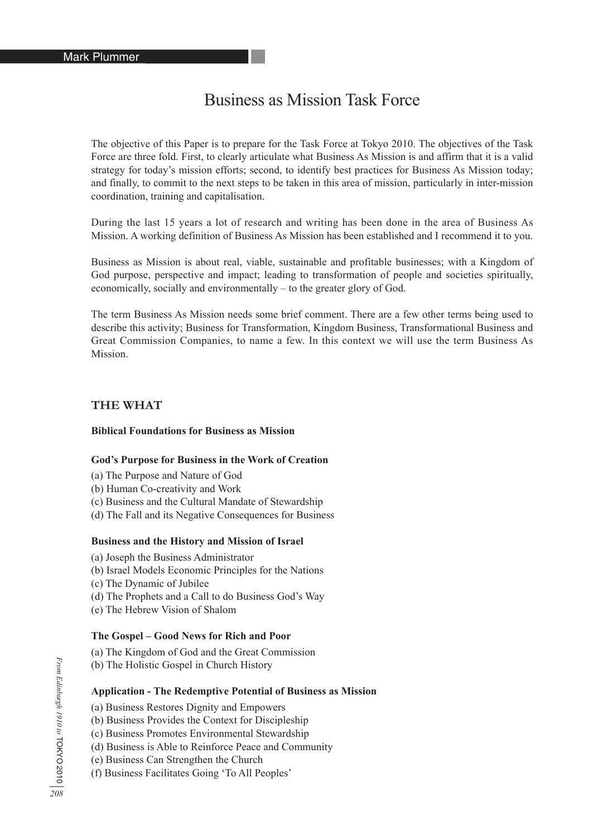# Business as Mission Task Force

The objective of this Paper is to prepare for the Task Force at Tokyo 2010. The objectives of the Task Force are three fold. First, to clearly articulate what Business As Mission is and affirm that it is a valid strategy for today's mission efforts; second, to identify best practices for Business As Mission today; and finally, to commit to the next steps to be taken in this area of mission, particularly in inter-mission coordination, training and capitalisation.

During the last 15 years a lot of research and writing has been done in the area of Business As Mission. A working definition of Business As Mission has been established and I recommend it to you.

Business as Mission is about real, viable, sustainable and profitable businesses; with a Kingdom of God purpose, perspective and impact; leading to transformation of people and societies spiritually, economically, socially and environmentally – to the greater glory of God.

The term Business As Mission needs some brief comment. There are a few other terms being used to describe this activity; Business for Transformation, Kingdom Business, Transformational Business and Great Commission Companies, to name a few. In this context we will use the term Business As **Mission** 

## **THE WHAT**

## **Biblical Foundations for Business as Mission**

#### **God's Purpose for Business in the Work of Creation**

- (a) The Purpose and Nature of God
- (b) Human Co-creativity and Work
- (c) Business and the Cultural Mandate of Stewardship
- (d) The Fall and its Negative Consequences for Business

#### **Business and the History and Mission of Israel**

- (a) Joseph the Business Administrator
- (b) Israel Models Economic Principles for the Nations
- (c) The Dynamic of Jubilee
- (d) The Prophets and a Call to do Business God's Way
- (e) The Hebrew Vision of Shalom

#### **The Gospel – Good News for Rich and Poor**

- (a) The Kingdom of God and the Great Commission
- (b) The Holistic Gospel in Church History

#### **Application - The Redemptive Potential of Business as Mission**

- (a) Business Restores Dignity and Empowers
- (b) Business Provides the Context for Discipleship
- (c) Business Promotes Environmental Stewardship
- (d) Business is Able to Reinforce Peace and Community
- (e) Business Can Strengthen the Church
- (f) Business Facilitates Going 'To All Peoples'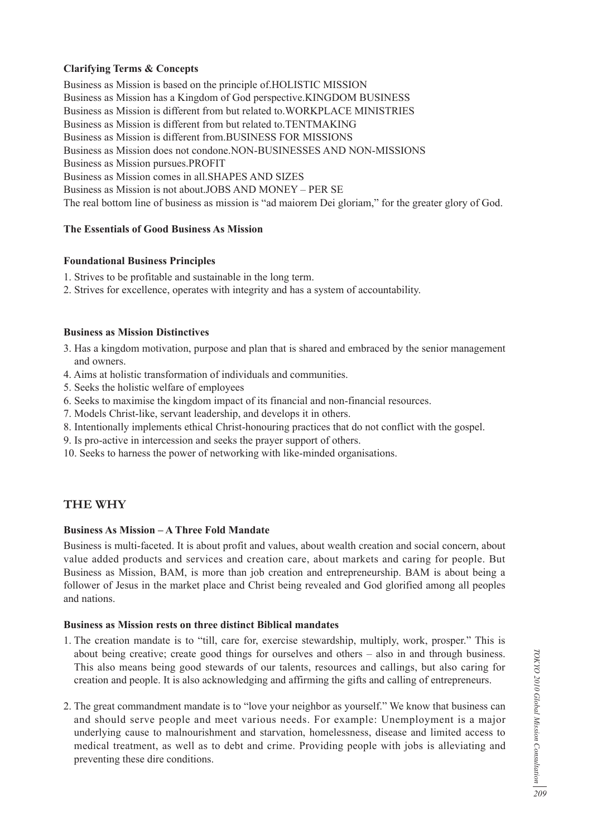# **Clarifying Terms & Concepts**

Business as Mission is based on the principle of.HOLISTIC MISSION Business as Mission has a Kingdom of God perspective.KINGDOM BUSINESS Business as Mission is different from but related to.WORKPLACE MINISTRIES Business as Mission is different from but related to.TENTMAKING Business as Mission is different from.BUSINESS FOR MISSIONS Business as Mission does not condone.NON-BUSINESSES AND NON-MISSIONS Business as Mission pursues.PROFIT Business as Mission comes in all.SHAPES AND SIZES Business as Mission is not about.JOBS AND MONEY – PER SE The real bottom line of business as mission is "ad maiorem Dei gloriam," for the greater glory of God.

# **The Essentials of Good Business As Mission**

#### **Foundational Business Principles**

- 1. Strives to be profitable and sustainable in the long term.
- 2. Strives for excellence, operates with integrity and has a system of accountability.

#### **Business as Mission Distinctives**

- 3. Has a kingdom motivation, purpose and plan that is shared and embraced by the senior management and owners.
- 4. Aims at holistic transformation of individuals and communities.
- 5. Seeks the holistic welfare of employees
- 6. Seeks to maximise the kingdom impact of its financial and non-financial resources.
- 7. Models Christ-like, servant leadership, and develops it in others.
- 8. Intentionally implements ethical Christ-honouring practices that do not conflict with the gospel.
- 9. Is pro-active in intercession and seeks the prayer support of others.
- 10. Seeks to harness the power of networking with like-minded organisations.

# **THE WHY**

#### **Business As Mission – A Three Fold Mandate**

Business is multi-faceted. It is about profit and values, about wealth creation and social concern, about value added products and services and creation care, about markets and caring for people. But Business as Mission, BAM, is more than job creation and entrepreneurship. BAM is about being a follower of Jesus in the market place and Christ being revealed and God glorified among all peoples and nations.

#### **Business as Mission rests on three distinct Biblical mandates**

- 1. The creation mandate is to "till, care for, exercise stewardship, multiply, work, prosper." This is about being creative; create good things for ourselves and others – also in and through business. This also means being good stewards of our talents, resources and callings, but also caring for creation and people. It is also acknowledging and affirming the gifts and calling of entrepreneurs.
- 2. The great commandment mandate is to "love your neighbor as yourself." We know that business can and should serve people and meet various needs. For example: Unemployment is a major underlying cause to malnourishment and starvation, homelessness, disease and limited access to medical treatment, as well as to debt and crime. Providing people with jobs is alleviating and preventing these dire conditions.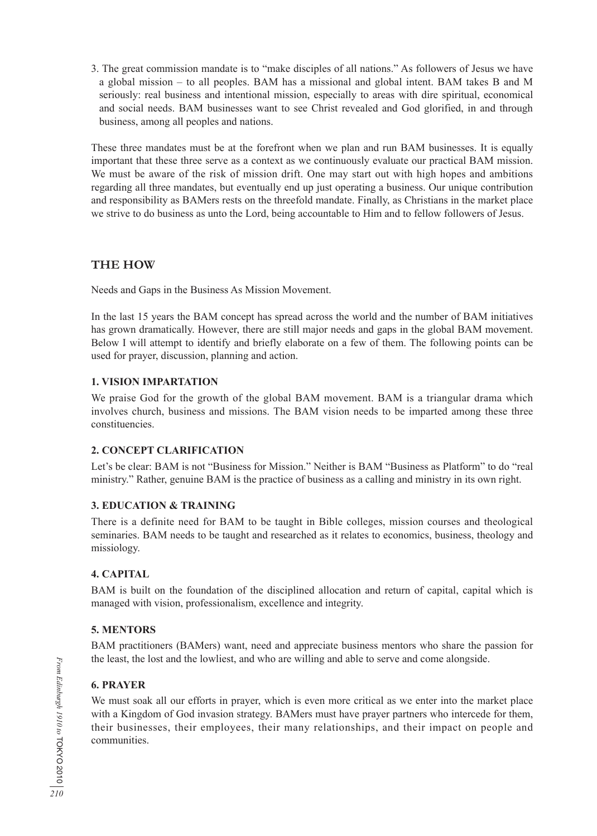3. The great commission mandate is to "make disciples of all nations." As followers of Jesus we have a global mission – to all peoples. BAM has a missional and global intent. BAM takes B and M seriously: real business and intentional mission, especially to areas with dire spiritual, economical and social needs. BAM businesses want to see Christ revealed and God glorified, in and through business, among all peoples and nations.

These three mandates must be at the forefront when we plan and run BAM businesses. It is equally important that these three serve as a context as we continuously evaluate our practical BAM mission. We must be aware of the risk of mission drift. One may start out with high hopes and ambitions regarding all three mandates, but eventually end up just operating a business. Our unique contribution and responsibility as BAMers rests on the threefold mandate. Finally, as Christians in the market place we strive to do business as unto the Lord, being accountable to Him and to fellow followers of Jesus.

# **THE HOW**

Needs and Gaps in the Business As Mission Movement.

In the last 15 years the BAM concept has spread across the world and the number of BAM initiatives has grown dramatically. However, there are still major needs and gaps in the global BAM movement. Below I will attempt to identify and briefly elaborate on a few of them. The following points can be used for prayer, discussion, planning and action.

# **1. VISION IMPARTATION**

We praise God for the growth of the global BAM movement. BAM is a triangular drama which involves church, business and missions. The BAM vision needs to be imparted among these three constituencies.

# **2. CONCEPT CLARIFICATION**

Let's be clear: BAM is not "Business for Mission." Neither is BAM "Business as Platform" to do "real ministry." Rather, genuine BAM is the practice of business as a calling and ministry in its own right.

# **3. EDUCATION & TRAINING**

There is a definite need for BAM to be taught in Bible colleges, mission courses and theological seminaries. BAM needs to be taught and researched as it relates to economics, business, theology and missiology.

# **4. CAPITAL**

BAM is built on the foundation of the disciplined allocation and return of capital, capital which is managed with vision, professionalism, excellence and integrity.

# **5. MENTORS**

BAM practitioners (BAMers) want, need and appreciate business mentors who share the passion for the least, the lost and the lowliest, and who are willing and able to serve and come alongside.

# **6. PRAYER**

We must soak all our efforts in prayer, which is even more critical as we enter into the market place with a Kingdom of God invasion strategy. BAMers must have prayer partners who intercede for them, their businesses, their employees, their many relationships, and their impact on people and communities.